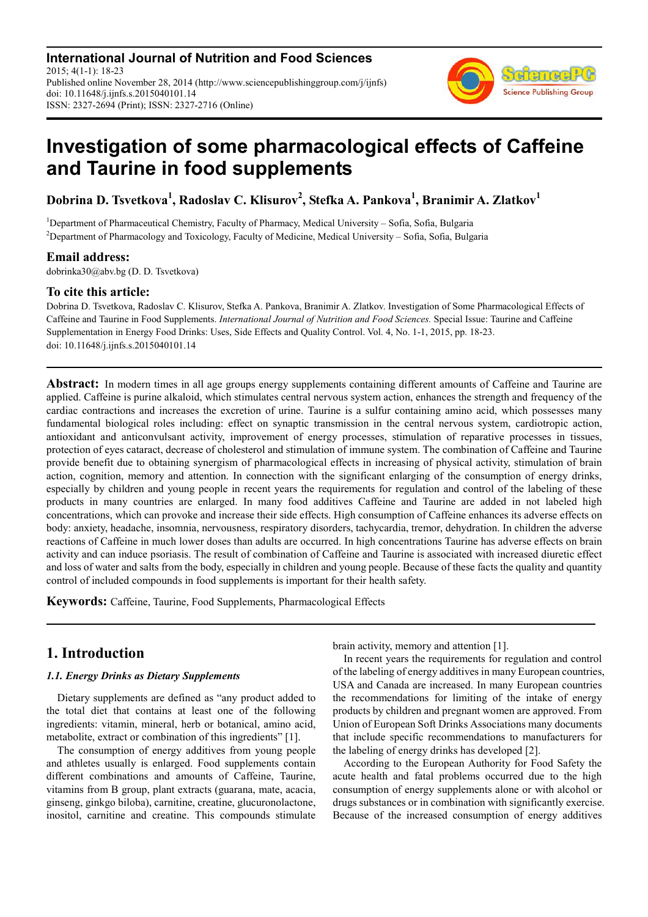**International Journal of Nutrition and Food Sciences** 2015; 4(1-1): 18-23 Published online November 28, 2014 (http://www.sciencepublishinggroup.com/j/ijnfs) doi: 10.11648/j.ijnfs.s.2015040101.14 ISSN: 2327-2694 (Print); ISSN: 2327-2716 (Online)



# **Investigation of some pharmacological effects of Caffeine and Taurine in food supplements**

**Dobrina D. Tsvetkova<sup>1</sup> , Radoslav C. Klisurov<sup>2</sup> , Stefka A. Pankova<sup>1</sup> , Branimir A. Zlatkov<sup>1</sup>**

<sup>1</sup>Department of Pharmaceutical Chemistry, Faculty of Pharmacy, Medical University – Sofia, Sofia, Bulgaria <sup>2</sup>Department of Pharmacology and Toxicology, Faculty of Medicine, Medical University - Sofia, Sofia, Bulgaria

## **Email address:**

dobrinka30@abv.bg (D. D. Tsvetkova)

## **To cite this article:**

Dobrina D. Tsvetkova, Radoslav C. Klisurov, Stefka A. Pankova, Branimir A. Zlatkov. Investigation of Some Pharmacological Effects of Caffeine and Taurine in Food Supplements. *International Journal of Nutrition and Food Sciences.* Special Issue: Taurine and Caffeine Supplementation in Energy Food Drinks: Uses, Side Effects and Quality Control. Vol. 4, No. 1-1, 2015, pp. 18-23. doi: 10.11648/j.ijnfs.s.2015040101.14

**Abstract:** In modern times in all age groups energy supplements containing different amounts of Caffeine and Taurine are applied. Caffeine is purine alkaloid, which stimulates central nervous system action, enhances the strength and frequency of the cardiac contractions and increases the excretion of urine. Taurine is a sulfur containing amino acid, which possesses many fundamental biological roles including: effect on synaptic transmission in the central nervous system, cardiotropic action, antioxidant and anticonvulsant activity, improvement of energy processes, stimulation of reparative processes in tissues, protection of eyes cataract, decrease of cholesterol and stimulation of immune system. The combination of Caffeine and Taurine provide benefit due to obtaining synergism of pharmacological effects in increasing of physical activity, stimulation of brain action, cognition, memory and attention. In connection with the significant enlarging of the consumption of energy drinks, especially by children and young people in recent years the requirements for regulation and control of the labeling of these products in many countries are enlarged. In many food additives Caffeine and Taurine are added in not labeled high concentrations, which can provoke and increase their side effects. High consumption of Caffeine enhances its adverse effects on body: anxiety, headache, insomnia, nervousness, respiratory disorders, tachycardia, tremor, dehydration. In children the adverse reactions of Caffeine in much lower doses than adults are occurred. In high concentrations Taurine has adverse effects on brain activity and can induce psoriasis. The result of combination of Caffeine and Taurine is associated with increased diuretic effect and loss of water and salts from the body, especially in children and young people. Because of these facts the quality and quantity control of included compounds in food supplements is important for their health safety.

**Keywords:** Caffeine, Taurine, Food Supplements, Pharmacological Effects

# **1. Introduction**

## *1.1. Energy Drinks as Dietary Supplements*

Dietary supplements are defined as "any product added to the total diet that contains at least one of the following ingredients: vitamin, mineral, herb or botanical, amino acid, metabolite, extract or combination of this ingredients" [1].

The consumption of energy additives from young people and athletes usually is enlarged. Food supplements contain different combinations and amounts of Caffeine, Taurine, vitamins from B group, plant extracts (guarana, mate, acacia, ginseng, ginkgo biloba), carnitine, creatine, glucuronolactone, inositol, carnitine and creatine. This compounds stimulate brain activity, memory and attention [1].

In recent years the requirements for regulation and control of the labeling of energy additives in many European countries, USA and Canada are increased. In many European countries the recommendations for limiting of the intake of energy products by children and pregnant women are approved. From Union of European Soft Drinks Associations many documents that include specific recommendations to manufacturers for the labeling of energy drinks has developed [2].

According to the European Authority for Food Safety the acute health and fatal problems occurred due to the high consumption of energy supplements alone or with alcohol or drugs substances or in combination with significantly exercise. Because of the increased consumption of energy additives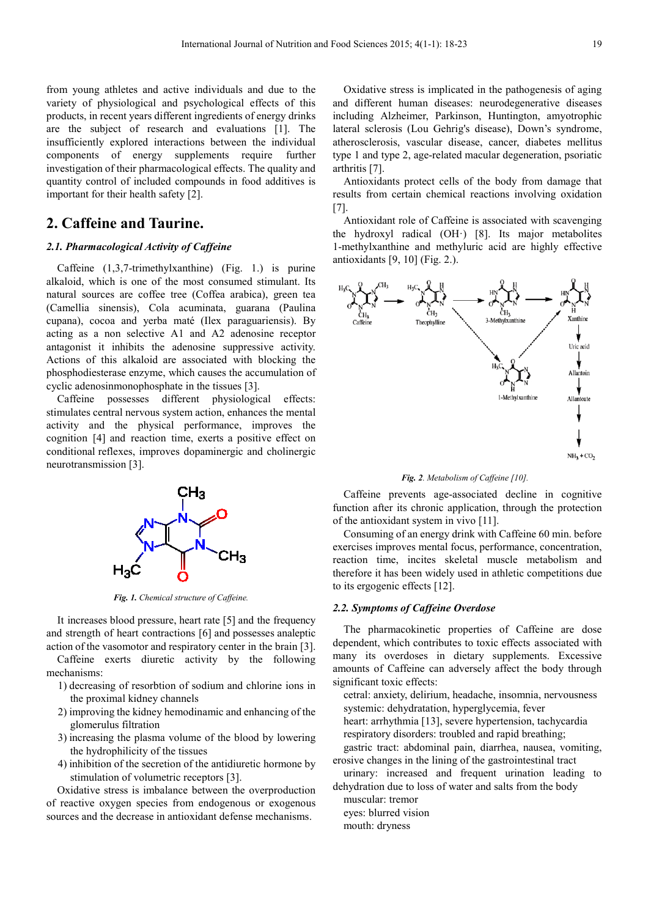from young athletes and active individuals and due to the variety of physiological and psychological effects of this products, in recent years different ingredients of energy drinks are the subject of research and evaluations [1]. The insufficiently explored interactions between the individual components of energy supplements require further investigation of their pharmacological effects. The quality and quantity control of included compounds in food additives is important for their health safety [2].

# **2. Caffeine and Taurine.**

#### *2.1. Pharmacological Activity of Caffeine*

Caffeine (1,3,7-trimethylxanthine) (Fig. 1.) is purine alkaloid, which is one of the most consumed stimulant. Its natural sources are coffee tree (Coffea arabica), green tea (Camellia sinensis), Cola acuminata, guarana (Paulina cupana), cocoa and yerba maté (Ilex paraguariensis). By acting as a non selective А1 and А2 adenosine receptor antagonist it inhibits the adenosine suppressive activity. Actions of this alkaloid are associated with blocking the phosphodiesterase enzyme, which causes the accumulation of cyclic adenosinmonophosphate in the tissues [3].

Caffeine possesses different physiological effects: stimulates central nervous system action, enhances the mental activity and the physical performance, improves the cognition [4] and reaction time, exerts a positive effect on conditional reflexes, improves dopaminergic and cholinergic neurotransmission [3].



*Fig. 1. Chemical structure of Caffeine.* 

It increases blood pressure, heart rate [5] and the frequency and strength of heart contractions [6] and possesses analeptic action of the vasomotor and respiratory center in the brain [3].

Caffeine exerts diuretic activity by the following mechanisms:

- 1) decreasing of resorbtion of sodium and chlorine ions in the proximal kidney channels
- 2) improving the kidney hemodinamic and enhancing of the glomerulus filtration
- 3) increasing the plasma volume of the blood by lowering the hydrophilicity of the tissues
- 4) inhibition of the secretion of the antidiuretic hormone by stimulation of volumetric receptors [3].

Oxidative stress is imbalance between the overproduction of reactive oxygen species from endogenous or exogenous sources and the decrease in antioxidant defense mechanisms.

Oxidative stress is implicated in the pathogenesis of aging and different human diseases: neurodegenerative diseases including Alzheimer, Parkinson, Huntington, amyotrophic lateral sclerosis (Lou Gehrig's disease), Down's syndrome, atherosclerosis, vascular disease, cancer, diabetes mellitus type 1 and type 2, age-related macular degeneration, psoriatic arthritis [7].

Antioxidants protect cells of the body from damage that results from certain chemical reactions involving oxidation [7].

Antioxidant role of Caffeine is associated with scavenging the hydroxyl radical (OH·) [8]. Its major metabolites 1-methylxanthine and methyluric acid are highly effective antioxidants [9, 10] (Fig. 2.).



*Fig. 2. Metabolism of Caffeine [10].* 

Caffeine prevents age-associated decline in cognitive function after its chronic application, through the protection of the antioxidant system in vivo [11].

Consuming of an energy drink with Caffeine 60 min. before exercises improves mental focus, performance, concentration, reaction time, incites skeletal muscle metabolism and therefore it has been widely used in athletic competitions due to its ergogenic effects [12].

#### *2.2. Symptoms of Caffeine Overdose*

The pharmacokinetic properties of Caffeine are dose dependent, which contributes to toxic effects associated with many its overdoses in dietary supplements. Excessive amounts of Caffeine can adversely affect the body through significant toxic effects:

cetral: anxiety, delirium, headache, insomnia, nervousness systemic: dehydratation, hyperglycemia, fever

heart: arrhythmia [13], severe hypertension, tachycardia respiratory disorders: troubled and rapid breathing;

gastric tract: abdominal pain, diarrhea, nausea, vomiting, erosive changes in the lining of the gastrointestinal tract

urinary: increased and frequent urination leading to dehydration due to loss of water and salts from the body

muscular: tremor

eyes: blurred vision

mouth: dryness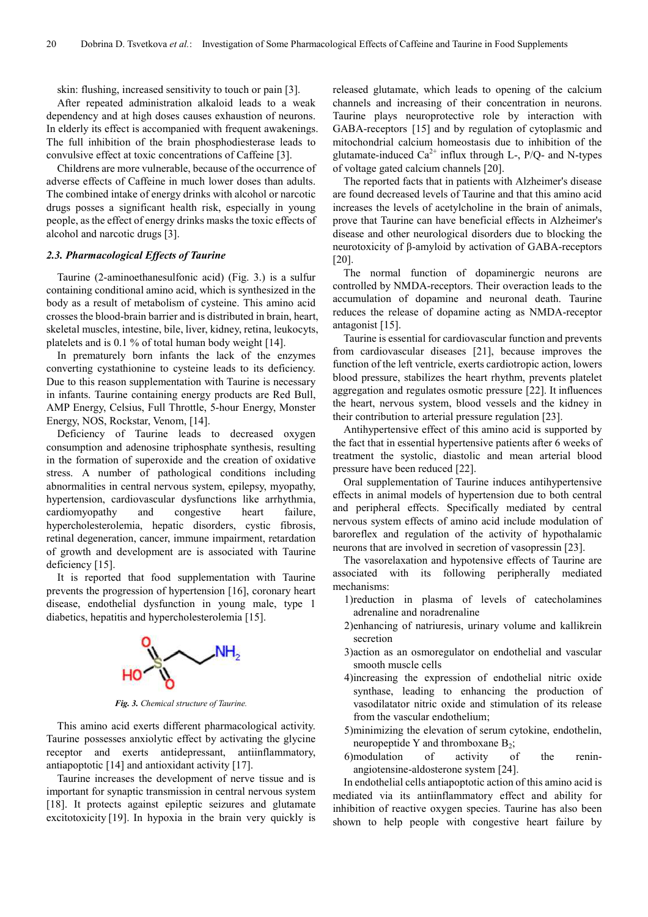skin: flushing, increased sensitivity to touch or pain [3].

After repeated administration alkaloid leads to a weak dependency and at high doses causes exhaustion of neurons. In elderly its effect is accompanied with frequent awakenings. The full inhibition of the brain phosphodiesterase leads to convulsive effect at toxic concentrations of Caffeine [3].

Childrens are more vulnerable, because of the occurrence of adverse effects of Caffeine in much lower doses than adults. The combined intake of energy drinks with alcohol or narcotic drugs posses a significant health risk, especially in young people, as the effect of energy drinks masks the toxic effects of alcohol and narcotic drugs [3].

#### *2.3. Pharmacological Effects of Taurine*

Taurine (2-aminoethanesulfonic acid) (Fig. 3.) is a sulfur containing conditional amino acid, which is synthesized in the body as a result of metabolism of cysteine. This amino acid crosses the blood-brain barrier and is distributed in brain, heart, skeletal muscles, intestine, bile, liver, kidney, retina, leukocyts, platelets and is 0.1 % of total human body weight [14].

In prematurely born infants the lack of the enzymes converting cystathionine to cysteine leads to its deficiency. Due to this reason supplementation with Taurine is necessary in infants. Taurine containing energy products are Red Bull, AMP Energy, Celsius, Full Throttle, 5-hour Energy, Monster Energy, NOS, Rockstar, Venom, [14].

Deficiency of Taurine leads to decreased oxygen consumption and adenosine triphosphate synthesis, resulting in the formation of superoxide and the creation of oxidative stress. A number of pathological conditions including abnormalities in central nervous system, epilepsy, myopathy, hypertension, cardiovascular dysfunctions like arrhythmia, cardiomyopathy and congestive heart failure, hypercholesterolemia, hepatic disorders, cystic fibrosis, retinal degeneration, cancer, immune impairment, retardation of growth and development are is associated with Taurine deficiency [15].

It is reported that food supplementation with Taurine prevents the progression of hypertension [16], coronary heart disease, endothelial dysfunction in young male, type 1 diabetics, hepatitis and hypercholesterolemia [15].



*Fig. 3. Chemical structure of Taurine.* 

This amino acid exerts different pharmacological activity. Taurine possesses anxiolytic effect by activating the glycine receptor and exerts antidepressant, antiinflammatory, antiapoptotic [14] and antioxidant activity [17].

Taurine increases the development of nerve tissue and is important for synaptic transmission in central nervous system [18]. It protects against epileptic seizures and glutamate excitotoxicity [19]. In hypoxia in the brain very quickly is released glutamate, which leads to opening of the calcium channels and increasing of their concentration in neurons. Taurine plays neuroprotective role by interaction with GABA-receptors [15] and by regulation of cytoplasmic and mitochondrial calcium homeostasis due to inhibition of the glutamate-induced  $Ca^{2+}$  influx through L-, P/Q- and N-types of voltage gated calcium channels [20].

The reported facts that in patients with Alzheimer's disease are found decreased levels of Taurine and that this amino acid increases the levels of acetylcholine in the brain of animals, prove that Taurine can have beneficial effects in Alzheimer's disease and other neurological disorders due to blocking the neurotoxicity of β-amyloid by activation of GABA-receptors [20].

The normal function of dopaminergic neurons are controlled by NMDA-receptors. Their overaction leads to the accumulation of dopamine and neuronal death. Taurine reduces the release of dopamine acting as NMDA-receptor antagonist [15].

Taurine is essential for cardiovascular function and prevents from cardiovascular diseases [21], because improves the function of the left ventricle, exerts cardiotropic action, lowers blood pressure, stabilizes the heart rhythm, prevents platelet aggregation and regulates osmotic pressure [22]. It influences the heart, nervous system, blood vessels and the kidney in their contribution to arterial pressure regulation [23].

Antihypertensive effect of this amino acid is supported by the fact that in essential hypertensive patients after 6 weeks of treatment the systolic, diastolic and mean arterial blood pressure have been reduced [22].

Oral supplementation of Taurine induces antihypertensive effects in animal models of hypertension due to both central and peripheral effects. Specifically mediated by central nervous system effects of amino acid include modulation of baroreflex and regulation of the activity of hypothalamic neurons that are involved in secretion of vasopressin [23].

The vasorelaxation and hypotensive effects of Taurine are associated with its following peripherally mediated mechanisms:

- 1)reduction in plasma of levels of catecholamines adrenaline and noradrenaline
- 2)enhancing of natriuresis, urinary volume and kallikrein secretion
- 3)action as an osmoregulator on endothelial and vascular smooth muscle cells
- 4)increasing the expression of endothelial nitric oxide synthase, leading to enhancing the production of vasodilatator nitric oxide and stimulation of its release from the vascular endothelium;
- 5)minimizing the elevation of serum cytokine, endothelin, neuropeptide Y and thromboxane  $B_2$ ;
- 6)modulation of activity of the reninangiotensine-aldosterone system [24].

In endothelial cells antiapoptotic action of this amino acid is mediated via its antiinflammatory effect and ability for inhibition of reactive oxygen species. Taurine has also been shown to help people with congestive heart failure by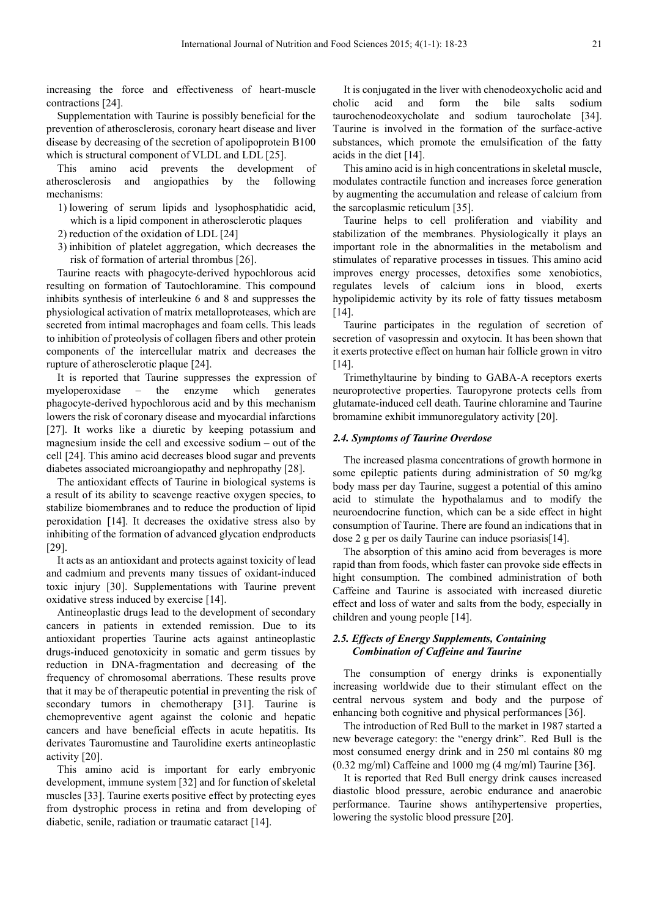increasing the force and effectiveness of heart-muscle contractions [24].

Supplementation with Taurine is possibly beneficial for the prevention of atherosclerosis, coronary heart disease and liver disease by decreasing of the secretion of apolipoprotein B100 which is structural component of VLDL and LDL [25].

This amino acid prevents the development of atherosclerosis and angiopathies by the following mechanisms:

- 1) lowering of serum lipids and lysophosphatidic acid, which is a lipid component in atherosclerotic plaques
- 2) reduction of the oxidation of LDL [24]
- 3) inhibition of platelet aggregation, which decreases the risk of formation of arterial thrombus [26].

Taurine reacts with phagocyte-derived hypochlorous acid resulting on formation of Tautochloramine. This compound inhibits synthesis of interleukine 6 and 8 and suppresses the physiological activation of matrix metalloproteases, which are secreted from intimal macrophages and foam cells. This leads to inhibition of proteolysis of collagen fibers and other protein components of the intercellular matrix and decreases the rupture of atherosclerotic plaque [24].

It is reported that Taurine suppresses the expression of myeloperoxidase – the enzyme which generates phagocyte-derived hypochlorous acid and by this mechanism lowers the risk of coronary disease and myocardial infarctions [27]. It works like a diuretic by keeping potassium and magnesium inside the cell and excessive sodium – out of the cell [24]. This amino acid decreases blood sugar and prevents diabetes associated microangiopathy and nephropathy [28].

The antioxidant effects of Taurine in biological systems is a result of its ability to scavenge reactive oxygen species, to stabilize biomembranes and to reduce the production of lipid peroxidation [14]. It decreases the oxidative stress also by inhibiting of the formation of advanced glycation endproducts [29].

It acts as an antioxidant and protects against toxicity of lead and cadmium and prevents many tissues of oxidant-induced toxic injury [30]. Supplementations with Taurine prevent oxidative stress induced by exercise [14].

Antineoplastic drugs lead to the development of secondary cancers in patients in extended remission. Due to its antioxidant properties Taurine acts against antineoplastic drugs-induced genotoxicity in somatic and germ tissues by reduction in DNA-fragmentation and decreasing of the frequency of chromosomal aberrations. These results prove that it may be of therapeutic potential in preventing the risk of secondary tumors in chemotherapy [31]. Taurine is chemopreventive agent against the colonic and hepatic cancers and have beneficial effects in acute hepatitis. Its derivates Tauromustine and Taurolidine exerts antineoplastic activity [20].

This amino acid is important for early embryonic development, immune system [32] and for function of skeletal muscles [33]. Taurine exerts positive effect by protecting eyes from dystrophic process in retina and from developing of diabetic, senile, radiation or traumatic cataract [14].

It is conjugated in the liver with chenodeoxycholic acid and cholic acid and form the bile salts sodium taurochenodeoxycholate and sodium taurocholate [34]. Taurine is involved in the formation of the surface-active substances, which promote the emulsification of the fatty acids in the diet [14].

This amino acid is in high concentrations in skeletal muscle, modulates contractile function and increases force generation by augmenting the accumulation and release of calcium from the sarcoplasmic reticulum [35].

Taurine helps to cell proliferation and viability and stabilization of the membranes. Physiologically it plays an important role in the abnormalities in the metabolism and stimulates of reparative processes in tissues. This amino acid improves energy processes, detoxifies some xenobiotics, regulates levels of calcium ions in blood, exerts hypolipidemic activity by its role of fatty tissues metabosm [14].

Taurine participates in the regulation of secretion of secretion of vasopressin and oxytocin. It has been shown that it exerts protective effect on human hair follicle grown in vitro [14].

Trimethyltaurine by binding to GABA-A receptors exerts neuroprotective properties. Tauropyrone protects cells from glutamate-induced cell death. Taurine chloramine and Taurine bromamine exhibit immunoregulatory activity [20].

#### *2.4. Symptoms of Taurine Overdose*

The increased plasma concentrations of growth hormone in some epileptic patients during administration of 50 mg/kg body mass per day Taurine, suggest a potential of this amino acid to stimulate the hypothalamus and to modify the neuroendocrine function, which can be a side effect in hight consumption of Taurine. There are found an indications that in dose 2 g per os daily Taurine can induce psoriasis[14].

The absorption of this amino acid from beverages is more rapid than from foods, which faster can provoke side effects in hight consumption. The combined administration of both Caffeine and Taurine is associated with increased diuretic effect and loss of water and salts from the body, especially in children and young people [14].

## *2.5. Effects of Energy Supplements, Containing Combination of Caffeine and Taurine*

The consumption of energy drinks is exponentially increasing worldwide due to their stimulant effect on the central nervous system and body and the purpose of enhancing both cognitive and physical performances [36].

The introduction of Red Bull to the market in 1987 started a new beverage category: the "energy drink". Red Bull is the most consumed energy drink and in 250 ml contains 80 mg (0.32 mg/ml) Caffeine and 1000 mg (4 mg/ml) Taurine [36].

It is reported that Red Bull energy drink causes increased diastolic blood pressure, aerobic endurance and anaerobic performance. Taurine shows antihypertensive properties, lowering the systolic blood pressure [20].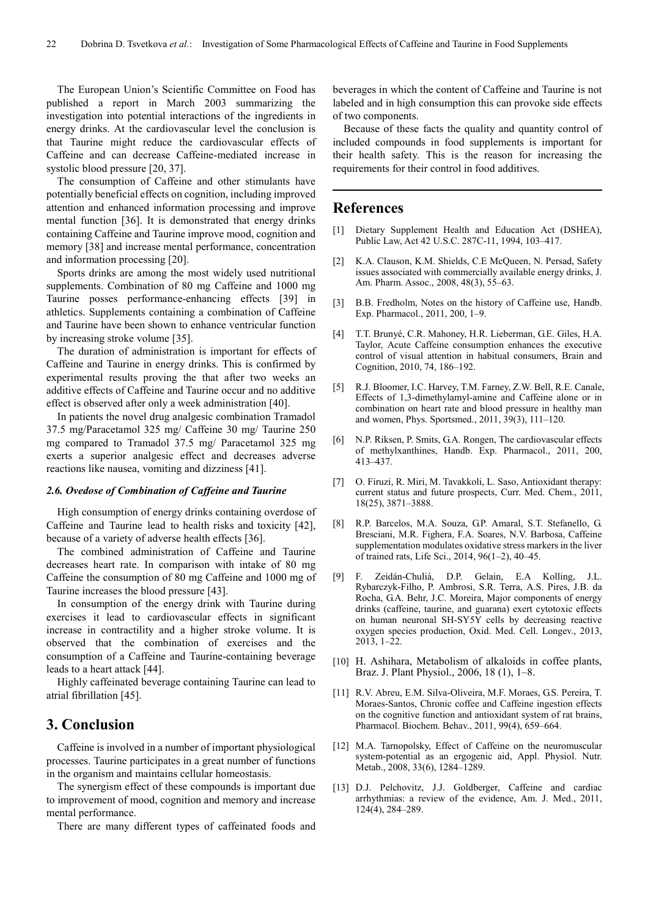The European Union's Scientific Committee on Food has published a report in March 2003 summarizing the investigation into potential interactions of the ingredients in energy drinks. At the cardiovascular level the conclusion is that Taurine might reduce the cardiovascular effects of Caffeine and can decrease Caffeine-mediated increase in systolic blood pressure [20, 37].

The consumption of Caffeine and other stimulants have potentially beneficial effects on cognition, including improved attention and enhanced information processing and improve mental function [36]. It is demonstrated that energy drinks containing Caffeine and Taurine improve mood, cognition and memory [38] and increase mental performance, concentration and information processing [20].

Sports drinks are among the most widely used nutritional supplements. Combination of 80 mg Caffeine and 1000 mg Taurine posses performance-enhancing effects [39] in athletics. Supplements containing a combination of Caffeine and Taurine have been shown to enhance ventricular function by increasing stroke volume [35].

The duration of administration is important for effects of Caffeine and Taurine in energy drinks. This is confirmed by experimental results proving the that after two weeks an additive effects of Caffeine and Taurine occur and no additive effect is observed after only a week administration [40].

In patients the novel drug analgesic combination Tramadol 37.5 mg/Paracetamol 325 mg/ Caffeine 30 mg/ Taurine 250 mg compared to Tramadol 37.5 mg/ Paracetamol 325 mg exerts a superior analgesic effect and decreases adverse reactions like nausea, vomiting and dizziness [41].

#### *2.6. Ovedose of Combination of Caffeine and Taurine*

High consumption of energy drinks containing overdose of Caffeine and Taurine lead to health risks and toxicity [42], because of a variety of adverse health effects [36].

The combined administration of Caffeine and Taurine decreases heart rate. In comparison with intake of 80 mg Caffeine the consumption of 80 mg Caffeine and 1000 mg of Taurine increases the blood pressure [43].

In consumption of the energy drink with Taurine during exercises it lead to cardiovascular effects in significant increase in contractility and a higher stroke volume. It is observed that the combination of exercises and the consumption of a Caffeine and Taurine-containing beverage leads to a heart attack [44].

Highly caffeinated beverage containing Taurine can lead to atrial fibrillation [45].

# **3. Conclusion**

Caffeine is involved in a number of important physiological processes. Taurine participates in a great number of functions in the organism and maintains cellular homeostasis.

The synergism effect of these compounds is important due to improvement of mood, cognition and memory and increase mental performance.

There are many different types of caffeinated foods and

beverages in which the content of Caffeine and Taurine is not labeled and in high consumption this can provoke side effects of two components.

Because of these facts the quality and quantity control of included compounds in food supplements is important for their health safety. This is the reason for increasing the requirements for their control in food additives.

## **References**

- [1] Dietary Supplement Health and Education Act (DSHEA), Public Law, Act 42 U.S.C. 287C-11, 1994, 103–417.
- [2] K.A. Clauson, K.M. Shields, C.E McQueen, N. Persad, Safety issues associated with commercially available energy drinks, J. Am. Pharm. Assoc., 2008, 48(3), 55–63.
- [3] B.B. Fredholm, Notes on the history of Caffeine use, Handb. Exp. Pharmacol., 2011, 200, 1–9.
- [4] T.T. Brunyé, C.R. Mahoney, H.R. Lieberman, G.E. Giles, H.A. Taylor, Acute Caffeine consumption enhances the executive control of visual attention in habitual consumers, Brain and Cognition, 2010, 74, 186–192.
- [5] R.J. Bloomer, I.C. Harvey, T.M. Farney, Z.W. Bell, R.E. Canale, Effects of 1,3-dimethylamyl-amine and Caffeine alone or in combination on heart rate and blood pressure in healthy man and women, Phys. Sportsmed., 2011, 39(3), 111–120.
- [6] N.P. Riksen, P. Smits, G.A. Rongen, The cardiovascular effects of methylxanthines, Handb. Exp. Pharmacol., 2011, 200, 413–437.
- [7] O. Firuzi, R. Miri, M. Tavakkoli, L. Saso, Antioxidant therapy: current status and future prospects, Curr. Med. Chem., 2011, 18(25), 3871–3888.
- [8] R.P. Barcelos, M.A. Souza, G.P. Amaral, S.T. Stefanello, G. Bresciani, M.R. Fighera, F.A. Soares, N.V. Barbosa, Caffeine supplementation modulates oxidative stress markers in the liver of trained rats, Life Sci., 2014, 96(1–2), 40–45.
- [9] F. Zeidán-Chuliá, D.P. Gelain, E.A Kolling, J.L. Rybarczyk-Filho, P. Ambrosi, S.R. Terra, A.S. Pires, J.B. da Rocha, G.A. Behr, J.C. Moreira, Major components of energy drinks (caffeine, taurine, and guarana) exert cytotoxic effects on human neuronal SH-SY5Y cells by decreasing reactive oxygen species production, Oxid. Med. Cell. Longev., 2013, 2013, 1–22.
- [10] H. Ashihara, Metabolism of alkaloids in coffee plants, Braz. J. Plant Physiol., 2006, 18 (1), 1–8.
- [11] R.V. Abreu, E.M. Silva-Oliveira, M.F. Moraes, G.S. Pereira, T. Moraes-Santos, Chronic coffee and Caffeine ingestion effects on the cognitive function and antioxidant system of rat brains, Pharmacol. Biochem. Behav., 2011, 99(4), 659–664.
- [12] M.A. Tarnopolsky, Effect of Caffeine on the neuromuscular system-potential as an ergogenic aid, Appl. Physiol. Nutr. Metab., 2008, 33(6), 1284–1289.
- [13] D.J. Pelchovitz, J.J. Goldberger, Caffeine and cardiac arrhythmias: a review of the evidence, Am. J. Med., 2011, 124(4), 284–289.